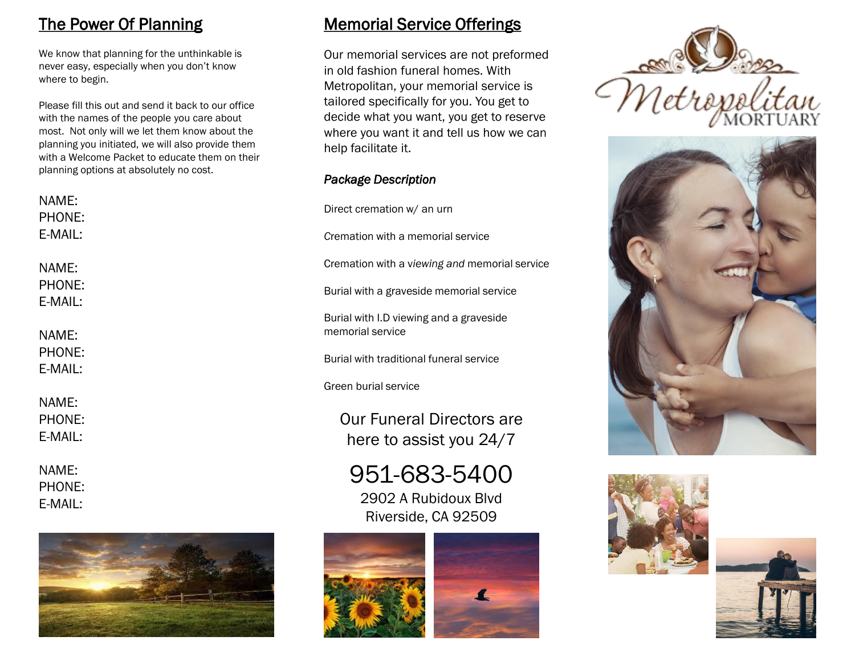# The Power Of Planning

We know that planning for the unthinkable is never easy, especially when you don't know where to begin.

Please fill this out and send it back to our office with the names of the people you care about most. Not only will we let them know about the planning you initiated, we will also provide them with a Welcome Packet to educate them on their planning options at absolutely no cost.

| NAME:                      | PHONE:            | Direct cremation                      |
|----------------------------|-------------------|---------------------------------------|
|                            | E-MAIL:           | Cremation with a                      |
| NAME:                      | PHONE:            | Cremation with a                      |
| E-MAIL:                    |                   | Burial with a gra                     |
| NAME:<br>PHONE:<br>E-MAIL: |                   | Burial with I.D vi<br>memorial servic |
|                            |                   | Burial with tradi                     |
|                            |                   | Green burial ser                      |
| NAME:                      | PHONE:<br>E-MAIL: | Our Fune<br>here to                   |

NAME: PHONE: E-MAIL:



# Memorial Service Offerings

Our memorial services are not preformed in old fashion funeral homes. With Metropolitan, your memorial service is tailored specifically for you. You get to decide what you want, you get to reserve where you want it and tell us how we can help facilitate it.

#### *Package Description*

n w/ an urn

a memorial service

a viewing and memorial service

aveside memorial service

iewing and a graveside memorial service

itional funeral service

rvice

eral Directors are assist you 24/7

951-683-5400 2902 A Rubidoux Blvd Riverside, CA 92509